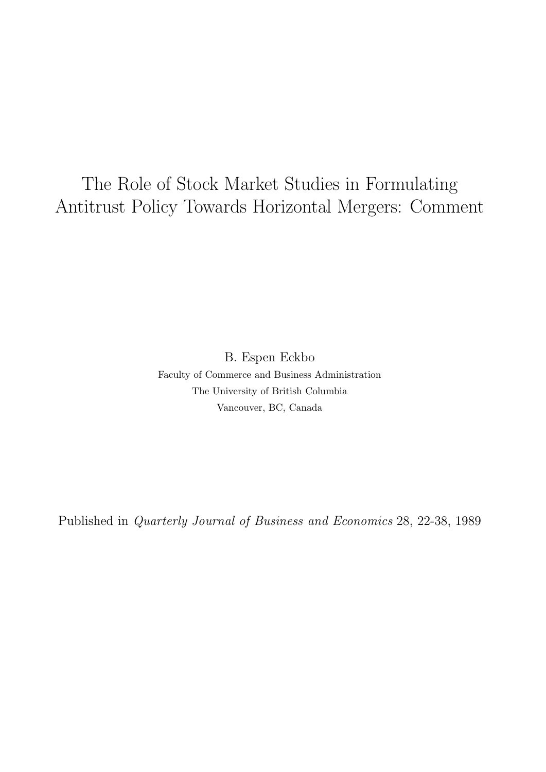# The Role of Stock Market Studies in Formulating Antitrust Policy Towards Horizontal Mergers: Comment

B. Espen Eckbo Faculty of Commerce and Business Administration The University of British Columbia Vancouver, BC, Canada

Published in Quarterly Journal of Business and Economics 28, 22-38, 1989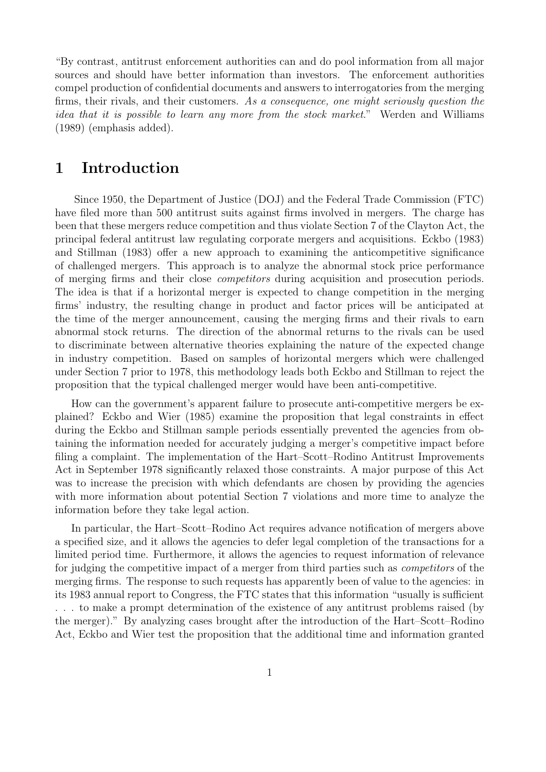"By contrast, antitrust enforcement authorities can and do pool information from all major sources and should have better information than investors. The enforcement authorities compel production of confidential documents and answers to interrogatories from the merging firms, their rivals, and their customers. As a consequence, one might seriously question the idea that it is possible to learn any more from the stock market." Werden and Williams (1989) (emphasis added).

## 1 Introduction

Since 1950, the Department of Justice (DOJ) and the Federal Trade Commission (FTC) have filed more than 500 antitrust suits against firms involved in mergers. The charge has been that these mergers reduce competition and thus violate Section 7 of the Clayton Act, the principal federal antitrust law regulating corporate mergers and acquisitions. Eckbo (1983) and Stillman (1983) offer a new approach to examining the anticompetitive significance of challenged mergers. This approach is to analyze the abnormal stock price performance of merging firms and their close competitors during acquisition and prosecution periods. The idea is that if a horizontal merger is expected to change competition in the merging firms' industry, the resulting change in product and factor prices will be anticipated at the time of the merger announcement, causing the merging firms and their rivals to earn abnormal stock returns. The direction of the abnormal returns to the rivals can be used to discriminate between alternative theories explaining the nature of the expected change in industry competition. Based on samples of horizontal mergers which were challenged under Section 7 prior to 1978, this methodology leads both Eckbo and Stillman to reject the proposition that the typical challenged merger would have been anti-competitive.

How can the government's apparent failure to prosecute anti-competitive mergers be explained? Eckbo and Wier (1985) examine the proposition that legal constraints in effect during the Eckbo and Stillman sample periods essentially prevented the agencies from obtaining the information needed for accurately judging a merger's competitive impact before filing a complaint. The implementation of the Hart–Scott–Rodino Antitrust Improvements Act in September 1978 significantly relaxed those constraints. A major purpose of this Act was to increase the precision with which defendants are chosen by providing the agencies with more information about potential Section 7 violations and more time to analyze the information before they take legal action.

In particular, the Hart–Scott–Rodino Act requires advance notification of mergers above a specified size, and it allows the agencies to defer legal completion of the transactions for a limited period time. Furthermore, it allows the agencies to request information of relevance for judging the competitive impact of a merger from third parties such as competitors of the merging firms. The response to such requests has apparently been of value to the agencies: in its 1983 annual report to Congress, the FTC states that this information "usually is sufficient . . . to make a prompt determination of the existence of any antitrust problems raised (by the merger)." By analyzing cases brought after the introduction of the Hart–Scott–Rodino Act, Eckbo and Wier test the proposition that the additional time and information granted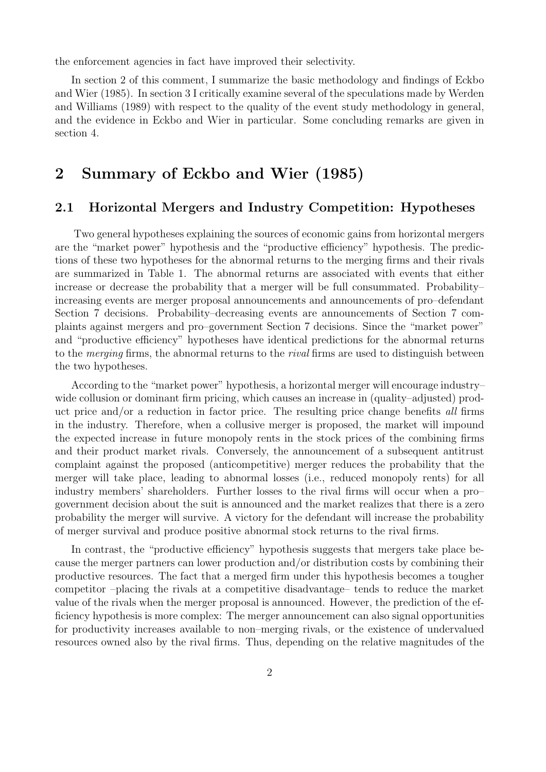the enforcement agencies in fact have improved their selectivity.

In section 2 of this comment, I summarize the basic methodology and findings of Eckbo and Wier (1985). In section 3 I critically examine several of the speculations made by Werden and Williams (1989) with respect to the quality of the event study methodology in general, and the evidence in Eckbo and Wier in particular. Some concluding remarks are given in section 4.

## 2 Summary of Eckbo and Wier (1985)

#### 2.1 Horizontal Mergers and Industry Competition: Hypotheses

Two general hypotheses explaining the sources of economic gains from horizontal mergers are the "market power" hypothesis and the "productive efficiency" hypothesis. The predictions of these two hypotheses for the abnormal returns to the merging firms and their rivals are summarized in Table 1. The abnormal returns are associated with events that either increase or decrease the probability that a merger will be full consummated. Probability– increasing events are merger proposal announcements and announcements of pro–defendant Section 7 decisions. Probability–decreasing events are announcements of Section 7 complaints against mergers and pro–government Section 7 decisions. Since the "market power" and "productive efficiency" hypotheses have identical predictions for the abnormal returns to the *merging* firms, the abnormal returns to the *rival* firms are used to distinguish between the two hypotheses.

According to the "market power" hypothesis, a horizontal merger will encourage industry– wide collusion or dominant firm pricing, which causes an increase in (quality–adjusted) product price and/or a reduction in factor price. The resulting price change benefits all firms in the industry. Therefore, when a collusive merger is proposed, the market will impound the expected increase in future monopoly rents in the stock prices of the combining firms and their product market rivals. Conversely, the announcement of a subsequent antitrust complaint against the proposed (anticompetitive) merger reduces the probability that the merger will take place, leading to abnormal losses (i.e., reduced monopoly rents) for all industry members' shareholders. Further losses to the rival firms will occur when a pro– government decision about the suit is announced and the market realizes that there is a zero probability the merger will survive. A victory for the defendant will increase the probability of merger survival and produce positive abnormal stock returns to the rival firms.

In contrast, the "productive efficiency" hypothesis suggests that mergers take place because the merger partners can lower production and/or distribution costs by combining their productive resources. The fact that a merged firm under this hypothesis becomes a tougher competitor –placing the rivals at a competitive disadvantage– tends to reduce the market value of the rivals when the merger proposal is announced. However, the prediction of the efficiency hypothesis is more complex: The merger announcement can also signal opportunities for productivity increases available to non–merging rivals, or the existence of undervalued resources owned also by the rival firms. Thus, depending on the relative magnitudes of the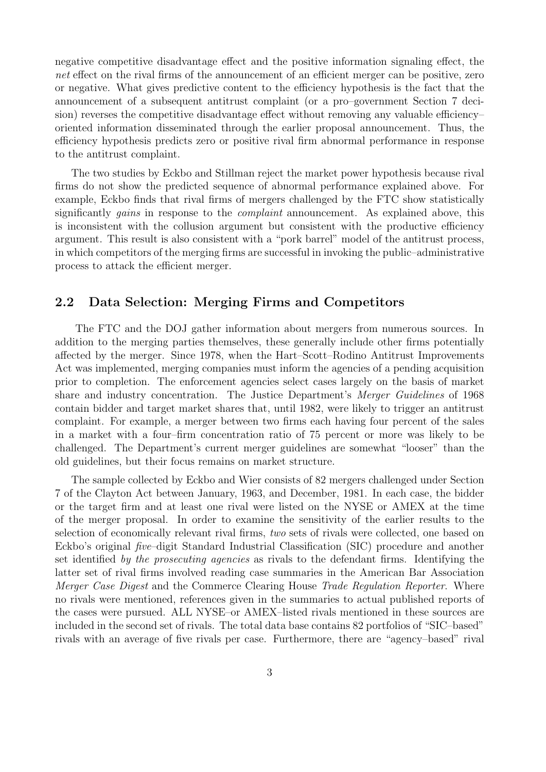negative competitive disadvantage effect and the positive information signaling effect, the net effect on the rival firms of the announcement of an efficient merger can be positive, zero or negative. What gives predictive content to the efficiency hypothesis is the fact that the announcement of a subsequent antitrust complaint (or a pro–government Section 7 decision) reverses the competitive disadvantage effect without removing any valuable efficiency– oriented information disseminated through the earlier proposal announcement. Thus, the efficiency hypothesis predicts zero or positive rival firm abnormal performance in response to the antitrust complaint.

The two studies by Eckbo and Stillman reject the market power hypothesis because rival firms do not show the predicted sequence of abnormal performance explained above. For example, Eckbo finds that rival firms of mergers challenged by the FTC show statistically significantly *gains* in response to the *complaint* announcement. As explained above, this is inconsistent with the collusion argument but consistent with the productive efficiency argument. This result is also consistent with a "pork barrel" model of the antitrust process, in which competitors of the merging firms are successful in invoking the public–administrative process to attack the efficient merger.

#### 2.2 Data Selection: Merging Firms and Competitors

The FTC and the DOJ gather information about mergers from numerous sources. In addition to the merging parties themselves, these generally include other firms potentially affected by the merger. Since 1978, when the Hart–Scott–Rodino Antitrust Improvements Act was implemented, merging companies must inform the agencies of a pending acquisition prior to completion. The enforcement agencies select cases largely on the basis of market share and industry concentration. The Justice Department's Merger Guidelines of 1968 contain bidder and target market shares that, until 1982, were likely to trigger an antitrust complaint. For example, a merger between two firms each having four percent of the sales in a market with a four–firm concentration ratio of 75 percent or more was likely to be challenged. The Department's current merger guidelines are somewhat "looser" than the old guidelines, but their focus remains on market structure.

The sample collected by Eckbo and Wier consists of 82 mergers challenged under Section 7 of the Clayton Act between January, 1963, and December, 1981. In each case, the bidder or the target firm and at least one rival were listed on the NYSE or AMEX at the time of the merger proposal. In order to examine the sensitivity of the earlier results to the selection of economically relevant rival firms, two sets of rivals were collected, one based on Eckbo's original five–digit Standard Industrial Classification (SIC) procedure and another set identified by the prosecuting agencies as rivals to the defendant firms. Identifying the latter set of rival firms involved reading case summaries in the American Bar Association Merger Case Digest and the Commerce Clearing House Trade Regulation Reporter. Where no rivals were mentioned, references given in the summaries to actual published reports of the cases were pursued. ALL NYSE–or AMEX–listed rivals mentioned in these sources are included in the second set of rivals. The total data base contains 82 portfolios of "SIC–based" rivals with an average of five rivals per case. Furthermore, there are "agency–based" rival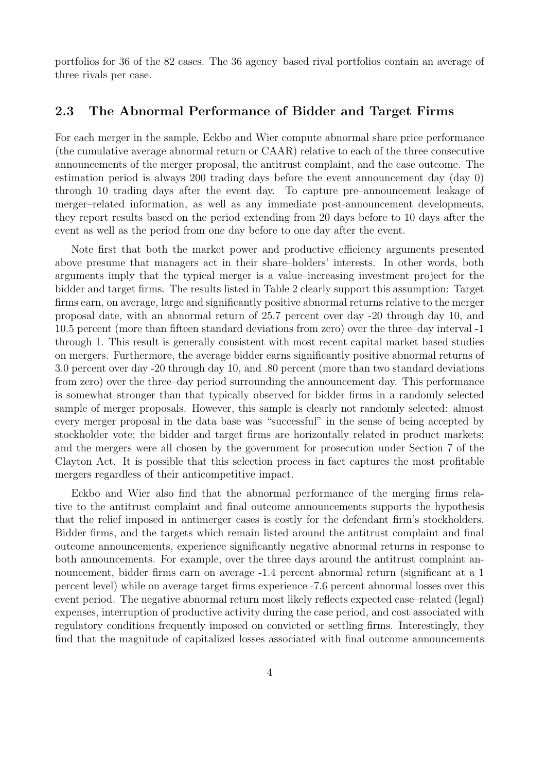portfolios for 36 of the 82 cases. The 36 agency–based rival portfolios contain an average of three rivals per case.

#### 2.3 The Abnormal Performance of Bidder and Target Firms

For each merger in the sample, Eckbo and Wier compute abnormal share price performance (the cumulative average abnormal return or CAAR) relative to each of the three consecutive announcements of the merger proposal, the antitrust complaint, and the case outcome. The estimation period is always 200 trading days before the event announcement day (day 0) through 10 trading days after the event day. To capture pre–announcement leakage of merger–related information, as well as any immediate post-announcement developments, they report results based on the period extending from 20 days before to 10 days after the event as well as the period from one day before to one day after the event.

Note first that both the market power and productive efficiency arguments presented above presume that managers act in their share–holders' interests. In other words, both arguments imply that the typical merger is a value–increasing investment project for the bidder and target firms. The results listed in Table 2 clearly support this assumption: Target firms earn, on average, large and significantly positive abnormal returns relative to the merger proposal date, with an abnormal return of 25.7 percent over day -20 through day 10, and 10.5 percent (more than fifteen standard deviations from zero) over the three–day interval -1 through 1. This result is generally consistent with most recent capital market based studies on mergers. Furthermore, the average bidder earns significantly positive abnormal returns of 3.0 percent over day -20 through day 10, and .80 percent (more than two standard deviations from zero) over the three–day period surrounding the announcement day. This performance is somewhat stronger than that typically observed for bidder firms in a randomly selected sample of merger proposals. However, this sample is clearly not randomly selected: almost every merger proposal in the data base was "successful" in the sense of being accepted by stockholder vote; the bidder and target firms are horizontally related in product markets; and the mergers were all chosen by the government for prosecution under Section 7 of the Clayton Act. It is possible that this selection process in fact captures the most profitable mergers regardless of their anticompetitive impact.

Eckbo and Wier also find that the abnormal performance of the merging firms relative to the antitrust complaint and final outcome announcements supports the hypothesis that the relief imposed in antimerger cases is costly for the defendant firm's stockholders. Bidder firms, and the targets which remain listed around the antitrust complaint and final outcome announcements, experience significantly negative abnormal returns in response to both announcements. For example, over the three days around the antitrust complaint announcement, bidder firms earn on average -1.4 percent abnormal return (significant at a 1 percent level) while on average target firms experience -7.6 percent abnormal losses over this event period. The negative abnormal return most likely reflects expected case–related (legal) expenses, interruption of productive activity during the case period, and cost associated with regulatory conditions frequently imposed on convicted or settling firms. Interestingly, they find that the magnitude of capitalized losses associated with final outcome announcements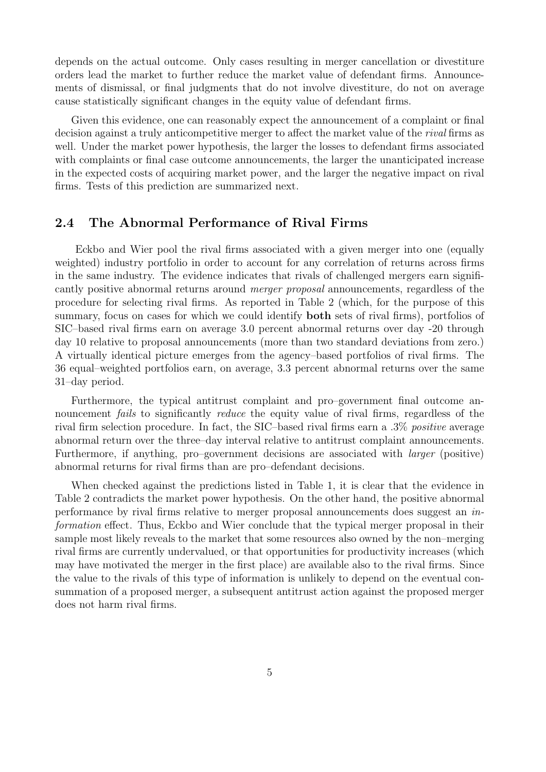depends on the actual outcome. Only cases resulting in merger cancellation or divestiture orders lead the market to further reduce the market value of defendant firms. Announcements of dismissal, or final judgments that do not involve divestiture, do not on average cause statistically significant changes in the equity value of defendant firms.

Given this evidence, one can reasonably expect the announcement of a complaint or final decision against a truly anticompetitive merger to affect the market value of the rival firms as well. Under the market power hypothesis, the larger the losses to defendant firms associated with complaints or final case outcome announcements, the larger the unanticipated increase in the expected costs of acquiring market power, and the larger the negative impact on rival firms. Tests of this prediction are summarized next.

### 2.4 The Abnormal Performance of Rival Firms

Eckbo and Wier pool the rival firms associated with a given merger into one (equally weighted) industry portfolio in order to account for any correlation of returns across firms in the same industry. The evidence indicates that rivals of challenged mergers earn significantly positive abnormal returns around merger proposal announcements, regardless of the procedure for selecting rival firms. As reported in Table 2 (which, for the purpose of this summary, focus on cases for which we could identify both sets of rival firms), portfolios of SIC–based rival firms earn on average 3.0 percent abnormal returns over day -20 through day 10 relative to proposal announcements (more than two standard deviations from zero.) A virtually identical picture emerges from the agency–based portfolios of rival firms. The 36 equal–weighted portfolios earn, on average, 3.3 percent abnormal returns over the same 31–day period.

Furthermore, the typical antitrust complaint and pro–government final outcome announcement *fails* to significantly *reduce* the equity value of rival firms, regardless of the rival firm selection procedure. In fact, the SIC–based rival firms earn a .3% positive average abnormal return over the three–day interval relative to antitrust complaint announcements. Furthermore, if anything, pro–government decisions are associated with larger (positive) abnormal returns for rival firms than are pro–defendant decisions.

When checked against the predictions listed in Table 1, it is clear that the evidence in Table 2 contradicts the market power hypothesis. On the other hand, the positive abnormal performance by rival firms relative to merger proposal announcements does suggest an information effect. Thus, Eckbo and Wier conclude that the typical merger proposal in their sample most likely reveals to the market that some resources also owned by the non–merging rival firms are currently undervalued, or that opportunities for productivity increases (which may have motivated the merger in the first place) are available also to the rival firms. Since the value to the rivals of this type of information is unlikely to depend on the eventual consummation of a proposed merger, a subsequent antitrust action against the proposed merger does not harm rival firms.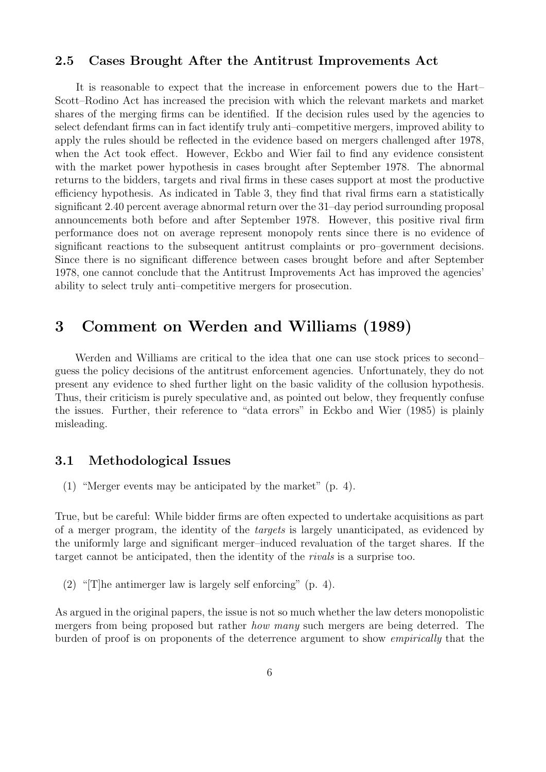#### 2.5 Cases Brought After the Antitrust Improvements Act

It is reasonable to expect that the increase in enforcement powers due to the Hart– Scott–Rodino Act has increased the precision with which the relevant markets and market shares of the merging firms can be identified. If the decision rules used by the agencies to select defendant firms can in fact identify truly anti–competitive mergers, improved ability to apply the rules should be reflected in the evidence based on mergers challenged after 1978, when the Act took effect. However, Eckbo and Wier fail to find any evidence consistent with the market power hypothesis in cases brought after September 1978. The abnormal returns to the bidders, targets and rival firms in these cases support at most the productive efficiency hypothesis. As indicated in Table 3, they find that rival firms earn a statistically significant 2.40 percent average abnormal return over the 31–day period surrounding proposal announcements both before and after September 1978. However, this positive rival firm performance does not on average represent monopoly rents since there is no evidence of significant reactions to the subsequent antitrust complaints or pro–government decisions. Since there is no significant difference between cases brought before and after September 1978, one cannot conclude that the Antitrust Improvements Act has improved the agencies' ability to select truly anti–competitive mergers for prosecution.

## 3 Comment on Werden and Williams (1989)

Werden and Williams are critical to the idea that one can use stock prices to second– guess the policy decisions of the antitrust enforcement agencies. Unfortunately, they do not present any evidence to shed further light on the basic validity of the collusion hypothesis. Thus, their criticism is purely speculative and, as pointed out below, they frequently confuse the issues. Further, their reference to "data errors" in Eckbo and Wier (1985) is plainly misleading.

#### 3.1 Methodological Issues

(1) "Merger events may be anticipated by the market" (p. 4).

True, but be careful: While bidder firms are often expected to undertake acquisitions as part of a merger program, the identity of the targets is largely unanticipated, as evidenced by the uniformly large and significant merger–induced revaluation of the target shares. If the target cannot be anticipated, then the identity of the rivals is a surprise too.

(2) "The antimerger law is largely self enforcing" (p. 4).

As argued in the original papers, the issue is not so much whether the law deters monopolistic mergers from being proposed but rather how many such mergers are being deterred. The burden of proof is on proponents of the deterrence argument to show empirically that the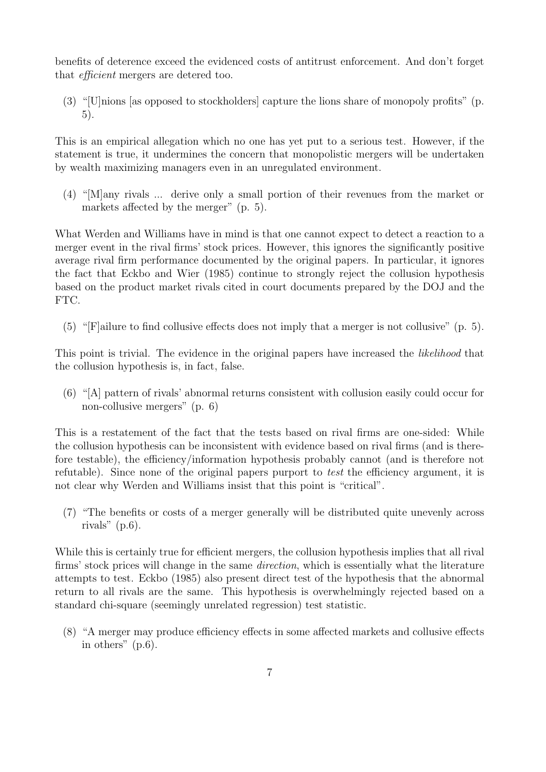benefits of deterence exceed the evidenced costs of antitrust enforcement. And don't forget that efficient mergers are detered too.

(3) "[U]nions [as opposed to stockholders] capture the lions share of monopoly profits" (p. 5).

This is an empirical allegation which no one has yet put to a serious test. However, if the statement is true, it undermines the concern that monopolistic mergers will be undertaken by wealth maximizing managers even in an unregulated environment.

(4) "[M]any rivals ... derive only a small portion of their revenues from the market or markets affected by the merger" (p. 5).

What Werden and Williams have in mind is that one cannot expect to detect a reaction to a merger event in the rival firms' stock prices. However, this ignores the significantly positive average rival firm performance documented by the original papers. In particular, it ignores the fact that Eckbo and Wier (1985) continue to strongly reject the collusion hypothesis based on the product market rivals cited in court documents prepared by the DOJ and the FTC.

(5) "[F]ailure to find collusive effects does not imply that a merger is not collusive" (p. 5).

This point is trivial. The evidence in the original papers have increased the *likelihood* that the collusion hypothesis is, in fact, false.

(6) "[A] pattern of rivals' abnormal returns consistent with collusion easily could occur for non-collusive mergers" (p. 6)

This is a restatement of the fact that the tests based on rival firms are one-sided: While the collusion hypothesis can be inconsistent with evidence based on rival firms (and is therefore testable), the efficiency/information hypothesis probably cannot (and is therefore not refutable). Since none of the original papers purport to test the efficiency argument, it is not clear why Werden and Williams insist that this point is "critical".

(7) "The benefits or costs of a merger generally will be distributed quite unevenly across rivals"  $(p.6)$ .

While this is certainly true for efficient mergers, the collusion hypothesis implies that all rival firms' stock prices will change in the same direction, which is essentially what the literature attempts to test. Eckbo (1985) also present direct test of the hypothesis that the abnormal return to all rivals are the same. This hypothesis is overwhelmingly rejected based on a standard chi-square (seemingly unrelated regression) test statistic.

(8) "A merger may produce efficiency effects in some affected markets and collusive effects in others" (p.6).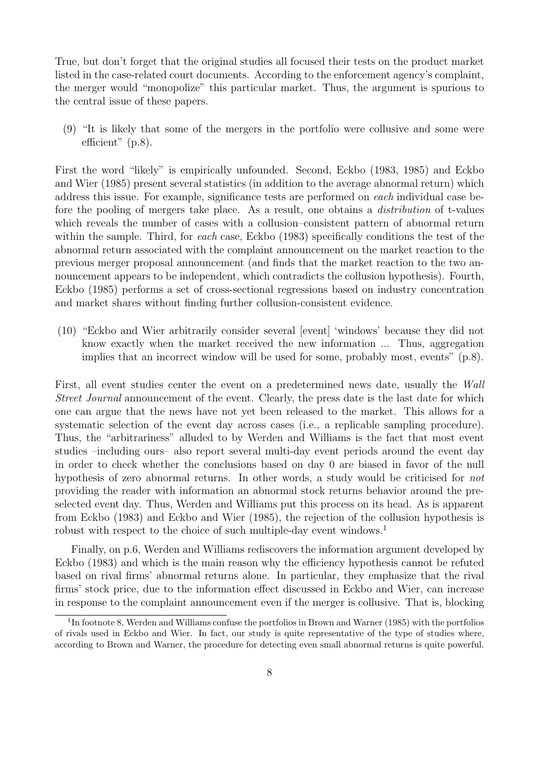True, but don't forget that the original studies all focused their tests on the product market listed in the case-related court documents. According to the enforcement agency's complaint, the merger would "monopolize" this particular market. Thus, the argument is spurious to the central issue of these papers.

(9) "It is likely that some of the mergers in the portfolio were collusive and some were efficient" (p.8).

First the word "likely" is empirically unfounded. Second, Eckbo (1983, 1985) and Eckbo and Wier (1985) present several statistics (in addition to the average abnormal return) which address this issue. For example, significance tests are performed on each individual case before the pooling of mergers take place. As a result, one obtains a distribution of t-values which reveals the number of cases with a collusion–consistent pattern of abnormal return within the sample. Third, for each case, Eckbo (1983) specifically conditions the test of the abnormal return associated with the complaint announcement on the market reaction to the previous merger proposal announcement (and finds that the market reaction to the two announcement appears to be independent, which contradicts the collusion hypothesis). Fourth, Eckbo (1985) performs a set of cross-sectional regressions based on industry concentration and market shares without finding further collusion-consistent evidence.

(10) "Eckbo and Wier arbitrarily consider several [event] 'windows' because they did not know exactly when the market received the new information ... Thus, aggregation implies that an incorrect window will be used for some, probably most, events" (p.8).

First, all event studies center the event on a predetermined news date, usually the Wall Street Journal announcement of the event. Clearly, the press date is the last date for which one can argue that the news have not yet been released to the market. This allows for a systematic selection of the event day across cases (i.e., a replicable sampling procedure). Thus, the "arbitrariness" alluded to by Werden and Williams is the fact that most event studies –including ours– also report several multi-day event periods around the event day in order to check whether the conclusions based on day 0 are biased in favor of the null hypothesis of zero abnormal returns. In other words, a study would be criticised for not providing the reader with information an abnormal stock returns behavior around the preselected event day. Thus, Werden and Williams put this process on its head. As is apparent from Eckbo (1983) and Eckbo and Wier (1985), the rejection of the collusion hypothesis is robust with respect to the choice of such multiple-day event windows.<sup>1</sup>

Finally, on p.6, Werden and Williams rediscovers the information argument developed by Eckbo (1983) and which is the main reason why the efficiency hypothesis cannot be refuted based on rival firms' abnormal returns alone. In particular, they emphasize that the rival firms' stock price, due to the information effect discussed in Eckbo and Wier, can increase in response to the complaint announcement even if the merger is collusive. That is, blocking

<sup>&</sup>lt;sup>1</sup>In footnote 8, Werden and Williams confuse the portfolios in Brown and Warner (1985) with the portfolios of rivals used in Eckbo and Wier. In fact, our study is quite representative of the type of studies where, according to Brown and Warner, the procedure for detecting even small abnormal returns is quite powerful.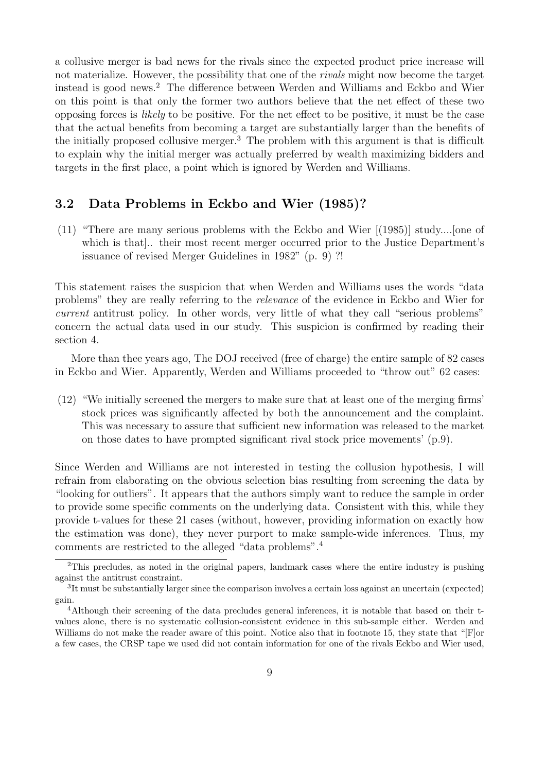a collusive merger is bad news for the rivals since the expected product price increase will not materialize. However, the possibility that one of the rivals might now become the target instead is good news.<sup>2</sup> The difference between Werden and Williams and Eckbo and Wier on this point is that only the former two authors believe that the net effect of these two opposing forces is likely to be positive. For the net effect to be positive, it must be the case that the actual benefits from becoming a target are substantially larger than the benefits of the initially proposed collusive merger.<sup>3</sup> The problem with this argument is that is difficult to explain why the initial merger was actually preferred by wealth maximizing bidders and targets in the first place, a point which is ignored by Werden and Williams.

#### 3.2 Data Problems in Eckbo and Wier (1985)?

(11) "There are many serious problems with the Eckbo and Wier [(1985)] study....[one of which is that].. their most recent merger occurred prior to the Justice Department's issuance of revised Merger Guidelines in 1982" (p. 9) ?!

This statement raises the suspicion that when Werden and Williams uses the words "data problems" they are really referring to the relevance of the evidence in Eckbo and Wier for current antitrust policy. In other words, very little of what they call "serious problems" concern the actual data used in our study. This suspicion is confirmed by reading their section 4.

More than thee years ago, The DOJ received (free of charge) the entire sample of 82 cases in Eckbo and Wier. Apparently, Werden and Williams proceeded to "throw out" 62 cases:

(12) "We initially screened the mergers to make sure that at least one of the merging firms' stock prices was significantly affected by both the announcement and the complaint. This was necessary to assure that sufficient new information was released to the market on those dates to have prompted significant rival stock price movements' (p.9).

Since Werden and Williams are not interested in testing the collusion hypothesis, I will refrain from elaborating on the obvious selection bias resulting from screening the data by "looking for outliers". It appears that the authors simply want to reduce the sample in order to provide some specific comments on the underlying data. Consistent with this, while they provide t-values for these 21 cases (without, however, providing information on exactly how the estimation was done), they never purport to make sample-wide inferences. Thus, my comments are restricted to the alleged "data problems".<sup>4</sup>

<sup>&</sup>lt;sup>2</sup>This precludes, as noted in the original papers, landmark cases where the entire industry is pushing against the antitrust constraint.

<sup>&</sup>lt;sup>3</sup>It must be substantially larger since the comparison involves a certain loss against an uncertain (expected) gain.

<sup>4</sup>Although their screening of the data precludes general inferences, it is notable that based on their tvalues alone, there is no systematic collusion-consistent evidence in this sub-sample either. Werden and Williams do not make the reader aware of this point. Notice also that in footnote 15, they state that "[F]or a few cases, the CRSP tape we used did not contain information for one of the rivals Eckbo and Wier used,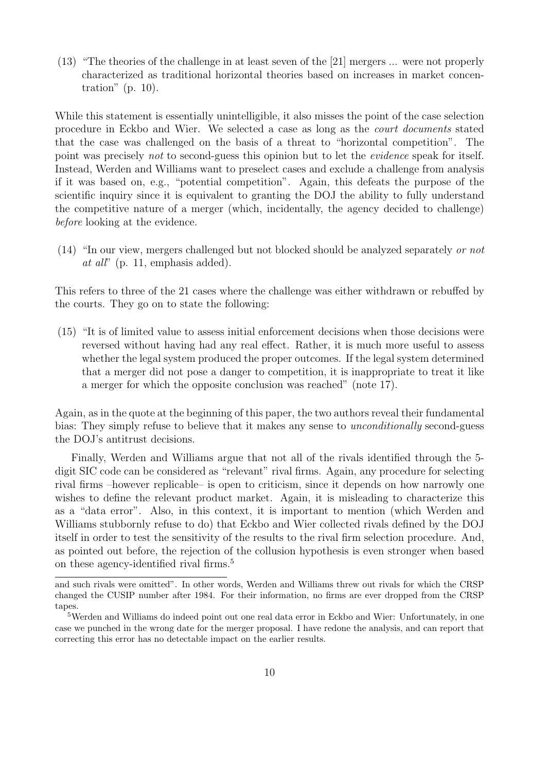(13) "The theories of the challenge in at least seven of the [21] mergers ... were not properly characterized as traditional horizontal theories based on increases in market concentration" (p. 10).

While this statement is essentially unintelligible, it also misses the point of the case selection procedure in Eckbo and Wier. We selected a case as long as the court documents stated that the case was challenged on the basis of a threat to "horizontal competition". The point was precisely not to second-guess this opinion but to let the evidence speak for itself. Instead, Werden and Williams want to preselect cases and exclude a challenge from analysis if it was based on, e.g., "potential competition". Again, this defeats the purpose of the scientific inquiry since it is equivalent to granting the DOJ the ability to fully understand the competitive nature of a merger (which, incidentally, the agency decided to challenge) before looking at the evidence.

 $(14)$  "In our view, mergers challenged but not blocked should be analyzed separately or not at all" (p. 11, emphasis added).

This refers to three of the 21 cases where the challenge was either withdrawn or rebuffed by the courts. They go on to state the following:

(15) "It is of limited value to assess initial enforcement decisions when those decisions were reversed without having had any real effect. Rather, it is much more useful to assess whether the legal system produced the proper outcomes. If the legal system determined that a merger did not pose a danger to competition, it is inappropriate to treat it like a merger for which the opposite conclusion was reached" (note 17).

Again, as in the quote at the beginning of this paper, the two authors reveal their fundamental bias: They simply refuse to believe that it makes any sense to unconditionally second-guess the DOJ's antitrust decisions.

Finally, Werden and Williams argue that not all of the rivals identified through the 5 digit SIC code can be considered as "relevant" rival firms. Again, any procedure for selecting rival firms –however replicable– is open to criticism, since it depends on how narrowly one wishes to define the relevant product market. Again, it is misleading to characterize this as a "data error". Also, in this context, it is important to mention (which Werden and Williams stubbornly refuse to do) that Eckbo and Wier collected rivals defined by the DOJ itself in order to test the sensitivity of the results to the rival firm selection procedure. And, as pointed out before, the rejection of the collusion hypothesis is even stronger when based on these agency-identified rival firms.<sup>5</sup>

and such rivals were omitted". In other words, Werden and Williams threw out rivals for which the CRSP changed the CUSIP number after 1984. For their information, no firms are ever dropped from the CRSP tapes.

<sup>&</sup>lt;sup>5</sup>Werden and Williams do indeed point out one real data error in Eckbo and Wier: Unfortunately, in one case we punched in the wrong date for the merger proposal. I have redone the analysis, and can report that correcting this error has no detectable impact on the earlier results.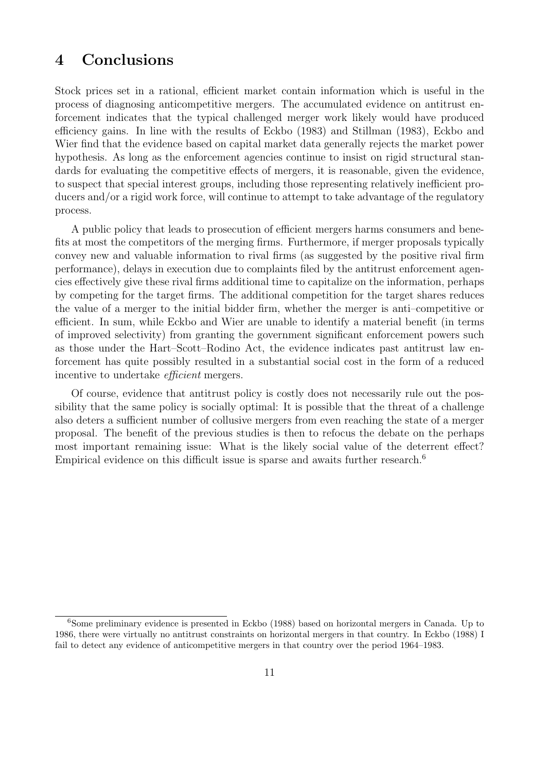## 4 Conclusions

Stock prices set in a rational, efficient market contain information which is useful in the process of diagnosing anticompetitive mergers. The accumulated evidence on antitrust enforcement indicates that the typical challenged merger work likely would have produced efficiency gains. In line with the results of Eckbo (1983) and Stillman (1983), Eckbo and Wier find that the evidence based on capital market data generally rejects the market power hypothesis. As long as the enforcement agencies continue to insist on rigid structural standards for evaluating the competitive effects of mergers, it is reasonable, given the evidence, to suspect that special interest groups, including those representing relatively inefficient producers and/or a rigid work force, will continue to attempt to take advantage of the regulatory process.

A public policy that leads to prosecution of efficient mergers harms consumers and benefits at most the competitors of the merging firms. Furthermore, if merger proposals typically convey new and valuable information to rival firms (as suggested by the positive rival firm performance), delays in execution due to complaints filed by the antitrust enforcement agencies effectively give these rival firms additional time to capitalize on the information, perhaps by competing for the target firms. The additional competition for the target shares reduces the value of a merger to the initial bidder firm, whether the merger is anti–competitive or efficient. In sum, while Eckbo and Wier are unable to identify a material benefit (in terms of improved selectivity) from granting the government significant enforcement powers such as those under the Hart–Scott–Rodino Act, the evidence indicates past antitrust law enforcement has quite possibly resulted in a substantial social cost in the form of a reduced incentive to undertake efficient mergers.

Of course, evidence that antitrust policy is costly does not necessarily rule out the possibility that the same policy is socially optimal: It is possible that the threat of a challenge also deters a sufficient number of collusive mergers from even reaching the state of a merger proposal. The benefit of the previous studies is then to refocus the debate on the perhaps most important remaining issue: What is the likely social value of the deterrent effect? Empirical evidence on this difficult issue is sparse and awaits further research.<sup>6</sup>

<sup>6</sup>Some preliminary evidence is presented in Eckbo (1988) based on horizontal mergers in Canada. Up to 1986, there were virtually no antitrust constraints on horizontal mergers in that country. In Eckbo (1988) I fail to detect any evidence of anticompetitive mergers in that country over the period 1964–1983.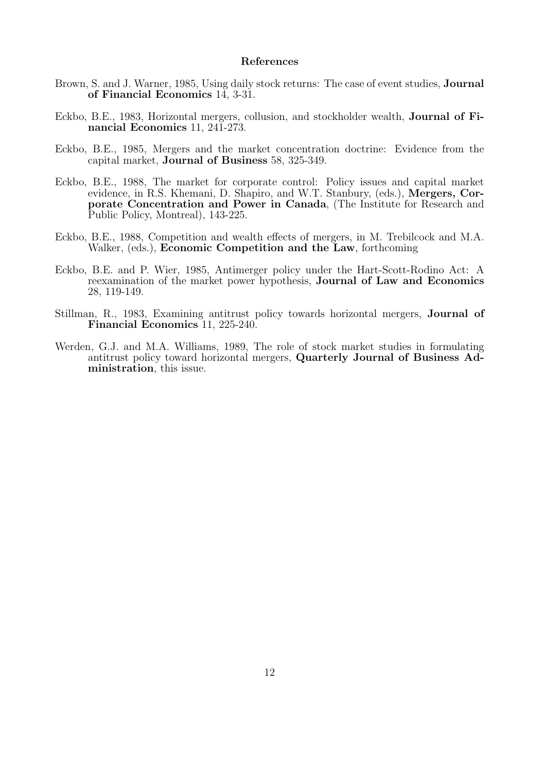#### References

- Brown, S. and J. Warner, 1985, Using daily stock returns: The case of event studies, Journal of Financial Economics 14, 3-31.
- Eckbo, B.E., 1983, Horizontal mergers, collusion, and stockholder wealth, Journal of Financial Economics 11, 241-273.
- Eckbo, B.E., 1985, Mergers and the market concentration doctrine: Evidence from the capital market, Journal of Business 58, 325-349.
- Eckbo, B.E., 1988, The market for corporate control: Policy issues and capital market evidence, in R.S. Khemani, D. Shapiro, and W.T. Stanbury, (eds.), Mergers, Corporate Concentration and Power in Canada, (The Institute for Research and Public Policy, Montreal), 143-225.
- Eckbo, B.E., 1988, Competition and wealth effects of mergers, in M. Trebilcock and M.A. Walker, (eds.), Economic Competition and the Law, forthcoming
- Eckbo, B.E. and P. Wier, 1985, Antimerger policy under the Hart-Scott-Rodino Act: A reexamination of the market power hypothesis, Journal of Law and Economics 28, 119-149.
- Stillman, R., 1983, Examining antitrust policy towards horizontal mergers, Journal of Financial Economics 11, 225-240.
- Werden, G.J. and M.A. Williams, 1989, The role of stock market studies in formulating antitrust policy toward horizontal mergers, Quarterly Journal of Business Administration, this issue.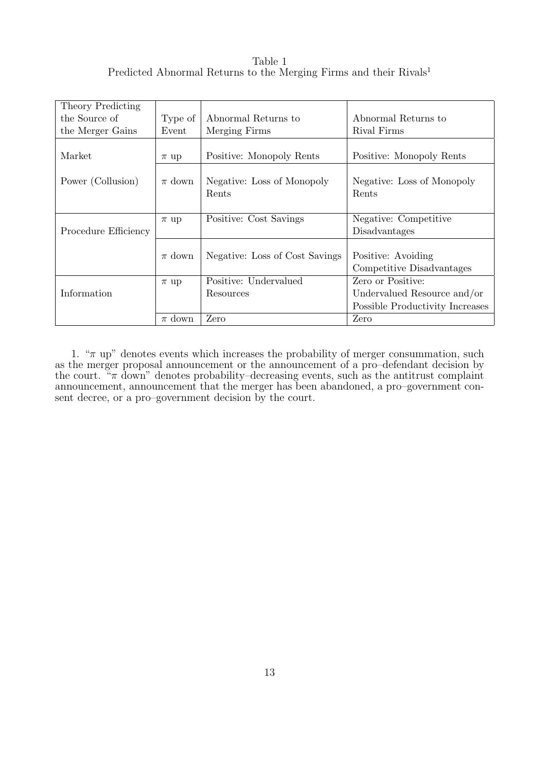Table 1 Predicted Abnormal Returns to the Merging Firms and their Rivals<sup>1</sup>

| Theory Predicting    |            |                                                 |                                 |  |
|----------------------|------------|-------------------------------------------------|---------------------------------|--|
| the Source of        | Type of    | Abnormal Returns to                             | Abnormal Returns to             |  |
| the Merger Gains     | Event      | Merging Firms                                   | Rival Firms                     |  |
|                      |            |                                                 |                                 |  |
| Market               | $\pi$ up   | Positive: Monopoly Rents                        | Positive: Monopoly Rents        |  |
|                      |            |                                                 |                                 |  |
| Power (Collusion)    | $\pi$ down | Negative: Loss of Monopoly                      | Negative: Loss of Monopoly      |  |
|                      |            | Rents                                           | Rents                           |  |
|                      |            |                                                 |                                 |  |
|                      | $\pi$ up   | Positive: Cost Savings<br>Negative: Competitive |                                 |  |
| Procedure Efficiency |            |                                                 | Disadvantages                   |  |
|                      |            |                                                 |                                 |  |
|                      | $\pi$ down | Negative: Loss of Cost Savings                  | Positive: Avoiding              |  |
|                      |            |                                                 | Competitive Disadvantages       |  |
|                      | $\pi$ up   | Positive: Undervalued                           | Zero or Positive:               |  |
| Information          |            | Resources                                       | Undervalued Resource and/or     |  |
|                      |            |                                                 | Possible Productivity Increases |  |
|                      | $\pi$ down | Zero                                            | Zero                            |  |

1. " $\pi$  up" denotes events which increases the probability of merger consummation, such as the merger proposal announcement or the announcement of a pro–defendant decision by the court. " $\pi$  down" denotes probability–decreasing events, such as the antitrust complaint announcement, announcement that the merger has been abandoned, a pro–government consent decree, or a pro–government decision by the court.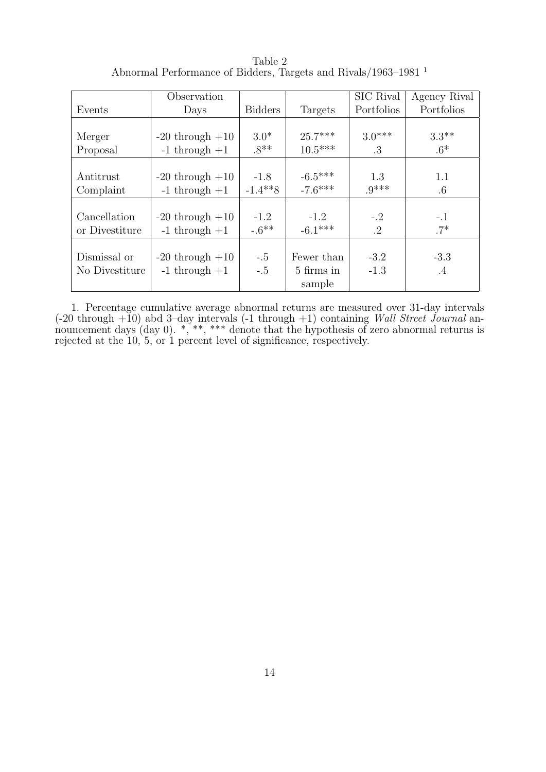Table 2 Abnormal Performance of Bidders, Targets and Rivals/1963–1981 <sup>1</sup>

|                | Observation         |                |            | SIC Rival  | Agency Rival |
|----------------|---------------------|----------------|------------|------------|--------------|
| Events         | Days                | <b>Bidders</b> | Targets    | Portfolios | Portfolios   |
|                |                     |                |            |            |              |
| Merger         | $-20$ through $+10$ | $3.0*$         | $25.7***$  | $3.0***$   | $3.3**$      |
| Proposal       | $-1$ through $+1$   | $.8**$         | $10.5***$  | .3         | $.6*$        |
|                |                     |                |            |            |              |
| Antitrust      | $-20$ through $+10$ | $-1.8$         | $-6.5***$  | 1.3        | 1.1          |
| Complaint      | $-1$ through $+1$   | $-1.4**8$      | $-7.6***$  | $9***$     | $.6\,$       |
|                |                     |                |            |            |              |
| Cancellation   | $-20$ through $+10$ | $-1.2$         | $-1.2$     | $-.2$      | $-.1$        |
| or Divestiture | $-1$ through $+1$   | $-0.6**$       | $-6.1***$  | $\cdot$ 2  | $.7*$        |
|                |                     |                |            |            |              |
| Dismissal or   | $-20$ through $+10$ | $-.5$          | Fewer than | $-3.2$     | $-3.3$       |
| No Divestiture | $-1$ through $+1$   | $-.5$          | 5 firms in | $-1.3$     | .4           |
|                |                     |                | sample     |            |              |

1. Percentage cumulative average abnormal returns are measured over 31-day intervals  $(-20 \text{ through } +10)$  abd 3-day intervals  $(-1 \text{ through } +1)$  containing Wall Street Journal announcement days (day 0). \*, \*\*, \*\*\* denote that the hypothesis of zero abnormal returns is rejected at the 10, 5, or 1 percent level of significance, respectively.